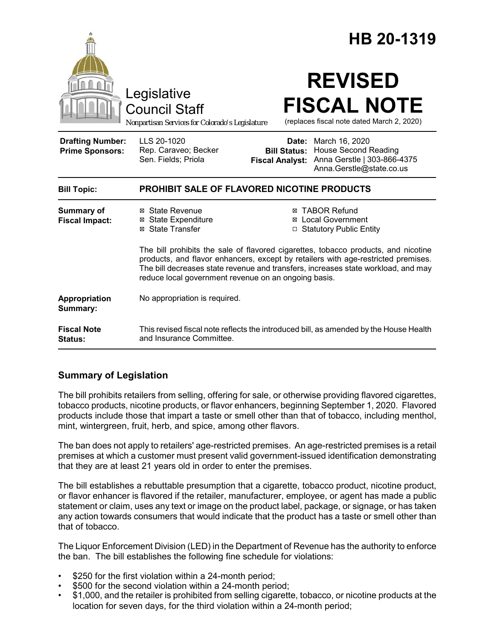|                                                   |                                                                                                                                                                                                                                                                                                                      |                                                        | HB 20-1319                                                                                               |  |
|---------------------------------------------------|----------------------------------------------------------------------------------------------------------------------------------------------------------------------------------------------------------------------------------------------------------------------------------------------------------------------|--------------------------------------------------------|----------------------------------------------------------------------------------------------------------|--|
|                                                   | Legislative<br><b>Council Staff</b><br>Nonpartisan Services for Colorado's Legislature                                                                                                                                                                                                                               |                                                        | <b>REVISED</b><br><b>FISCAL NOTE</b><br>(replaces fiscal note dated March 2, 2020)                       |  |
| <b>Drafting Number:</b><br><b>Prime Sponsors:</b> | LLS 20-1020<br>Rep. Caraveo; Becker<br>Sen. Fields; Priola                                                                                                                                                                                                                                                           | Date:<br><b>Bill Status:</b><br><b>Fiscal Analyst:</b> | March 16, 2020<br><b>House Second Reading</b><br>Anna Gerstle   303-866-4375<br>Anna.Gerstle@state.co.us |  |
| <b>Bill Topic:</b>                                | <b>PROHIBIT SALE OF FLAVORED NICOTINE PRODUCTS</b>                                                                                                                                                                                                                                                                   |                                                        |                                                                                                          |  |
| <b>Summary of</b><br><b>Fiscal Impact:</b>        | ⊠ State Revenue<br><b>⊠</b> State Expenditure<br>⊠ State Transfer                                                                                                                                                                                                                                                    |                                                        | <b>⊠ TABOR Refund</b><br><b>⊠</b> Local Government<br>□ Statutory Public Entity                          |  |
|                                                   | The bill prohibits the sale of flavored cigarettes, tobacco products, and nicotine<br>products, and flavor enhancers, except by retailers with age-restricted premises.<br>The bill decreases state revenue and transfers, increases state workload, and may<br>reduce local government revenue on an ongoing basis. |                                                        |                                                                                                          |  |
| Appropriation<br>Summary:                         | No appropriation is required.                                                                                                                                                                                                                                                                                        |                                                        |                                                                                                          |  |
| <b>Fiscal Note</b><br><b>Status:</b>              | This revised fiscal note reflects the introduced bill, as amended by the House Health<br>and Insurance Committee.                                                                                                                                                                                                    |                                                        |                                                                                                          |  |

# **Summary of Legislation**

The bill prohibits retailers from selling, offering for sale, or otherwise providing flavored cigarettes, tobacco products, nicotine products, or flavor enhancers, beginning September 1, 2020. Flavored products include those that impart a taste or smell other than that of tobacco, including menthol, mint, wintergreen, fruit, herb, and spice, among other flavors.

The ban does not apply to retailers' age-restricted premises. An age-restricted premises is a retail premises at which a customer must present valid government-issued identification demonstrating that they are at least 21 years old in order to enter the premises.

The bill establishes a rebuttable presumption that a cigarette, tobacco product, nicotine product, or flavor enhancer is flavored if the retailer, manufacturer, employee, or agent has made a public statement or claim, uses any text or image on the product label, package, or signage, or has taken any action towards consumers that would indicate that the product has a taste or smell other than that of tobacco.

The Liquor Enforcement Division (LED) in the Department of Revenue has the authority to enforce the ban. The bill establishes the following fine schedule for violations:

- \$250 for the first violation within a 24-month period;
- \$500 for the second violation within a 24-month period;
- \$1,000, and the retailer is prohibited from selling cigarette, tobacco, or nicotine products at the location for seven days, for the third violation within a 24-month period;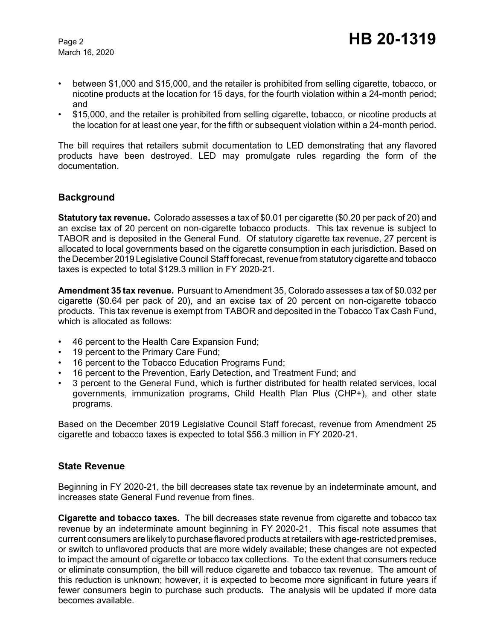March 16, 2020

- between \$1,000 and \$15,000, and the retailer is prohibited from selling cigarette, tobacco, or nicotine products at the location for 15 days, for the fourth violation within a 24-month period; and
- \$15,000, and the retailer is prohibited from selling cigarette, tobacco, or nicotine products at the location for at least one year, for the fifth or subsequent violation within a 24-month period.

The bill requires that retailers submit documentation to LED demonstrating that any flavored products have been destroyed. LED may promulgate rules regarding the form of the documentation.

### **Background**

**Statutory tax revenue.** Colorado assesses a tax of \$0.01 per cigarette (\$0.20 per pack of 20) and an excise tax of 20 percent on non-cigarette tobacco products. This tax revenue is subject to TABOR and is deposited in the General Fund. Of statutory cigarette tax revenue, 27 percent is allocated to local governments based on the cigarette consumption in each jurisdiction. Based on the December 2019 Legislative Council Staff forecast, revenue from statutory cigarette and tobacco taxes is expected to total \$129.3 million in FY 2020-21.

**Amendment 35 tax revenue.** Pursuant to Amendment 35, Colorado assesses a tax of \$0.032 per cigarette (\$0.64 per pack of 20), and an excise tax of 20 percent on non-cigarette tobacco products. This tax revenue is exempt from TABOR and deposited in the Tobacco Tax Cash Fund, which is allocated as follows:

- 46 percent to the Health Care Expansion Fund;
- 19 percent to the Primary Care Fund;
- 16 percent to the Tobacco Education Programs Fund;
- 16 percent to the Prevention, Early Detection, and Treatment Fund; and
- 3 percent to the General Fund, which is further distributed for health related services, local governments, immunization programs, Child Health Plan Plus (CHP+), and other state programs.

Based on the December 2019 Legislative Council Staff forecast, revenue from Amendment 25 cigarette and tobacco taxes is expected to total \$56.3 million in FY 2020-21.

### **State Revenue**

Beginning in FY 2020-21, the bill decreases state tax revenue by an indeterminate amount, and increases state General Fund revenue from fines.

**Cigarette and tobacco taxes.** The bill decreases state revenue from cigarette and tobacco tax revenue by an indeterminate amount beginning in FY 2020-21. This fiscal note assumes that current consumers are likely to purchase flavored products at retailers with age-restricted premises, or switch to unflavored products that are more widely available; these changes are not expected to impact the amount of cigarette or tobacco tax collections. To the extent that consumers reduce or eliminate consumption, the bill will reduce cigarette and tobacco tax revenue. The amount of this reduction is unknown; however, it is expected to become more significant in future years if fewer consumers begin to purchase such products. The analysis will be updated if more data becomes available.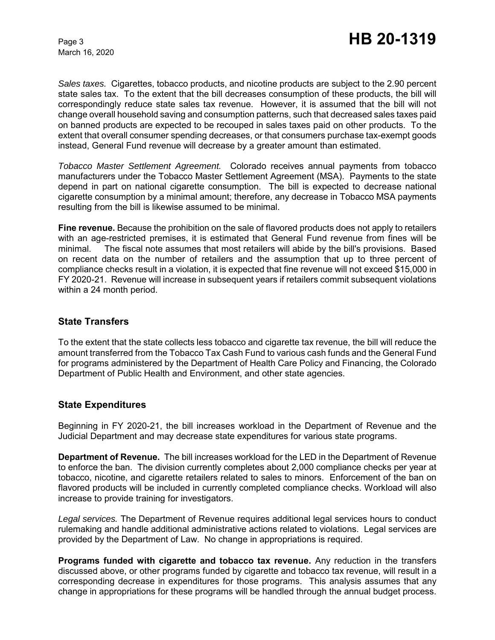March 16, 2020

*Sales taxes.* Cigarettes, tobacco products, and nicotine products are subject to the 2.90 percent state sales tax. To the extent that the bill decreases consumption of these products, the bill will correspondingly reduce state sales tax revenue. However, it is assumed that the bill will not change overall household saving and consumption patterns, such that decreased sales taxes paid on banned products are expected to be recouped in sales taxes paid on other products. To the extent that overall consumer spending decreases, or that consumers purchase tax-exempt goods instead, General Fund revenue will decrease by a greater amount than estimated.

*Tobacco Master Settlement Agreement.* Colorado receives annual payments from tobacco manufacturers under the Tobacco Master Settlement Agreement (MSA). Payments to the state depend in part on national cigarette consumption. The bill is expected to decrease national cigarette consumption by a minimal amount; therefore, any decrease in Tobacco MSA payments resulting from the bill is likewise assumed to be minimal.

**Fine revenue.** Because the prohibition on the sale of flavored products does not apply to retailers with an age-restricted premises, it is estimated that General Fund revenue from fines will be minimal. The fiscal note assumes that most retailers will abide by the bill's provisions. Based on recent data on the number of retailers and the assumption that up to three percent of compliance checks result in a violation, it is expected that fine revenue will not exceed \$15,000 in FY 2020-21. Revenue will increase in subsequent years if retailers commit subsequent violations within a 24 month period.

### **State Transfers**

To the extent that the state collects less tobacco and cigarette tax revenue, the bill will reduce the amount transferred from the Tobacco Tax Cash Fund to various cash funds and the General Fund for programs administered by the Department of Health Care Policy and Financing, the Colorado Department of Public Health and Environment, and other state agencies.

### **State Expenditures**

Beginning in FY 2020-21, the bill increases workload in the Department of Revenue and the Judicial Department and may decrease state expenditures for various state programs.

**Department of Revenue.** The bill increases workload for the LED in the Department of Revenue to enforce the ban. The division currently completes about 2,000 compliance checks per year at tobacco, nicotine, and cigarette retailers related to sales to minors. Enforcement of the ban on flavored products will be included in currently completed compliance checks. Workload will also increase to provide training for investigators.

*Legal services.* The Department of Revenue requires additional legal services hours to conduct rulemaking and handle additional administrative actions related to violations. Legal services are provided by the Department of Law. No change in appropriations is required.

**Programs funded with cigarette and tobacco tax revenue.** Any reduction in the transfers discussed above, or other programs funded by cigarette and tobacco tax revenue, will result in a corresponding decrease in expenditures for those programs. This analysis assumes that any change in appropriations for these programs will be handled through the annual budget process.